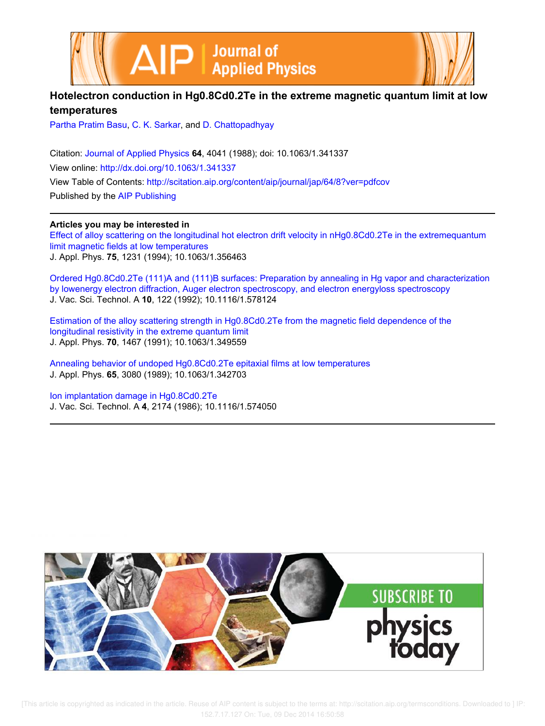



# **Hotelectron conduction in Hg0.8Cd0.2Te in the extreme magnetic quantum limit at low temperatures**

Partha Pratim Basu, C. K. Sarkar, and D. Chattopadhyay

Citation: Journal of Applied Physics **64**, 4041 (1988); doi: 10.1063/1.341337 View online: http://dx.doi.org/10.1063/1.341337 View Table of Contents: http://scitation.aip.org/content/aip/journal/jap/64/8?ver=pdfcov Published by the AIP Publishing

# **Articles you may be interested in**

Effect of alloy scattering on the longitudinal hot electron drift velocity in nHg0.8Cd0.2Te in the extremequantum limit magnetic fields at low temperatures J. Appl. Phys. **75**, 1231 (1994); 10.1063/1.356463

Ordered Hg0.8Cd0.2Te (111)A and (111)B surfaces: Preparation by annealing in Hg vapor and characterization by lowenergy electron diffraction, Auger electron spectroscopy, and electron energyloss spectroscopy J. Vac. Sci. Technol. A **10**, 122 (1992); 10.1116/1.578124

Estimation of the alloy scattering strength in Hg0.8Cd0.2Te from the magnetic field dependence of the longitudinal resistivity in the extreme quantum limit J. Appl. Phys. **70**, 1467 (1991); 10.1063/1.349559

Annealing behavior of undoped Hg0.8Cd0.2Te epitaxial films at low temperatures J. Appl. Phys. **65**, 3080 (1989); 10.1063/1.342703

Ion implantation damage in Hg0.8Cd0.2Te J. Vac. Sci. Technol. A **4**, 2174 (1986); 10.1116/1.574050

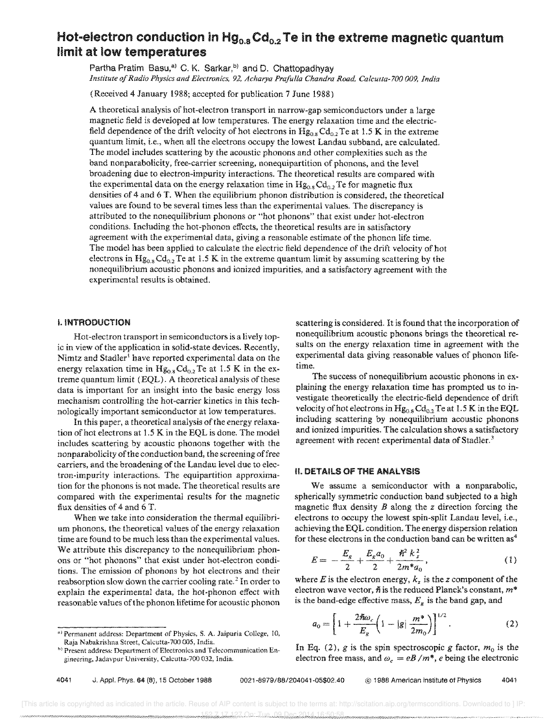# Hot-electron conduction in  $Hg_{0.8}$ Cd<sub>0.2</sub> Te in the extreme magnetic quantum limit at low temperatures

Partha Pratim Basu,<sup>a)</sup> C. K. Sarkar,<sup>b)</sup> and D. Chattopadhyay *Institute of Radio Physics and Electronics,* 92, *Acharya Prafulla Chandra Road, Calcutta-lOO 009, India* 

(Received 4 January 1988; accepted for publication 7 June 1988)

A theoretical analysis of hot-electron transport in narrow-gap semiconductors under a large magnetic field is developed at low temperatures. The energy relaxation time and the electricfield dependence of the drift velocity of hot electrons in  $Hg_{0.8}Cd_{0.2}Te$  at 1.5 K in the extreme quantum limit, i.e., when all the electrons occupy the lowest Landau subband, are calculated. The model includes scattering by the acoustic phonons and other complexities such as the band nonparabolicity, free-carrier screening, nonequipartition of phonons, and the level broadening due to electron-impurity interactions. The theoretical results are compared with the experimental data on the energy relaxation time in  $Hg_{0.8}Cd_{0.2}Te$  for magnetic flux densities of 4 and 6 T. When the equilibrium phonon distribution is considered, the theoretical values are found to be several times less than the experimental values. The discrepancy is attributed to the nonequiIibrium phonons or "hot phonons" that exist under hot-electron conditions. Including the hot-phonon effects, the theoretical results are in satisfactory agreement with the experimental data, giving a reasonable estimate of the phonon life time. The model has been applied to calculate the electric field dependence of the drift velocity of hot electrons in  $Hg_{0.8}Cd_{0.2}Te$  at 1.5 K in the extreme quantum limit by assuming scattering by the nonequilibrium acoustic phonons and ionized impurities, and a satisfactory agreement with the experimental results is obtained.

## I. INTRODUCTION

Hot-electron transport in semiconductors is a lively topic in view of the application in solid-state devices. Recently, Nimtz and Stadler<sup>1</sup> have reported experimental data on the energy relaxation time in  $Hg_{0.8} Cd_{0.2}Te$  at 1.5 K in the extreme quantum limit (EQL). A theoretical analysis of these data is important for an insight into the basic energy loss mechanism controlling the hot-carrier kinetics in this technologically important semiconductor at low temperatures.

In this paper, a theoretical analysis of the energy relaxation of hot electrons at 1.S K in the EQL is done. The model includes scattering by acoustic phonons together with the nonparabolicity of the conduction band, the screening of free carriers, and the broadening of the Landau level due to electron-impurity interactions. The equipartition approximation for the phonons is not made. The theoretical results are compared with the experimental results for the magnetic flux densities of 4 and 6 T.

When we take into consideration the thermal equilibrium phonons, the theoretical values of the energy relaxation time are found to be much less than the experimental values. We attribute this discrepancy to the nonequilibrium phonons or "hot phonons" that exist under hot-electron conditions. The emission of phonons by hot electrons and their reabsorption slow down the carrier cooling rate.<sup>2</sup> In order to explain the experimental data, the hot-phonon effect with reasonable values of the phonon lifetime for acoustic phonon

scattering is considered. It is found that the incorporation of nonequilibrium acoustic phonons brings the theoretical results on the energy relaxation time in agreement with the experimental data giving reasonable values of phonon lifetime.

The success of nonequilibrium acoustic phonons in explaining the energy relaxation time has prompted us to investigate theoretically the electric-field dependence of drift velocity of hot electrons in  $Hg_{0.8}Cd_{0.2}Te$  at 1.5 K in the EQL including scattering by nonequilibrium acoustic phonons and ionized impurities. The calculation shows a satisfactory agreement with recent experimental data of Stadler.<sup>3</sup>

#### II. DETAILS OF THE ANALYSIS

We assume a semiconductor with a nonparabolic, spherically symmetric conduction band subjected to a high magnetic flux density  $B$  along the  $z$  direction forcing the electrons to occupy the lowest spin-split Landau level, i.e., achieving the EQL condition. The energy dispersion relation for these electrons in the conduction band can be written  $as<sup>4</sup>$ 

$$
E = -\frac{E_g}{2} + \frac{E_g a_0}{2} + \frac{\hbar^2 k_z^2}{2m^* a_0},
$$
 (1)

where E is the electron energy,  $k_z$  is the z component of the electron wave vector,  $\hslash$  is the reduced Planck's constant,  $m^*$ is the band-edge effective mass,  $E<sub>g</sub>$  is the band gap, and

$$
a_0 = \left[1 + \frac{2\hbar\omega_c}{E_g} \left(1 - |g| \frac{m^*}{2m_0}\right)\right]^{1/2}.
$$
 (2)

In Eq. (2),  $g$  is the spin spectroscopic  $g$  factor,  $m_0$  is the electron free mass, and  $\omega_c = eB/m^*$ , *e* being the electronic

<sup>&</sup>lt;sup>a)</sup> Permanent address: Department of Physics, S. A. Jaipuria College, 10, Raja Nabakrishna Street, Ca!cutta-700 005, India.

<sup>&</sup>lt;sup>b)</sup> Present address: Department of Electronics and Telecommunication Engineering, Jadavpur University, Calcutta-70n 032, India.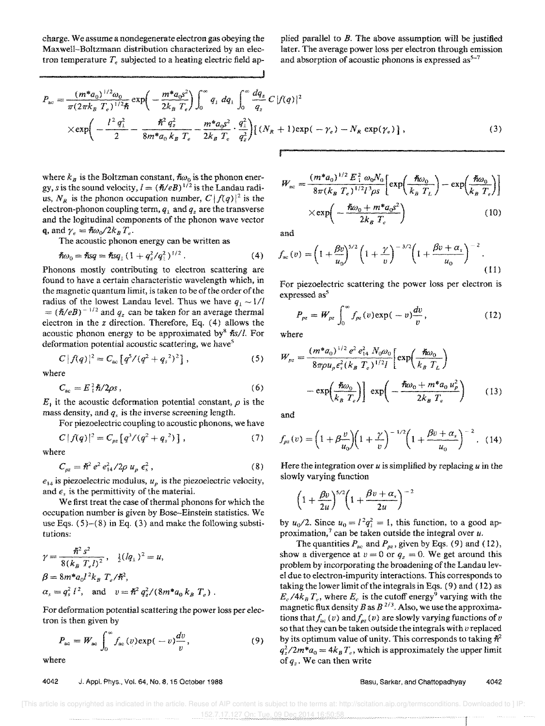charge. We assume a nondegenerate electron gas obeying the Maxwell-Boltzmann distribution characterized by an tron temperature  $T_e$  subjected to a heating electric field applied parallel to  $B$ . The above assumption will be justified later. The average power loss per electron through emission and absorption of acoustic phonons is expressed  $as<sup>5-7</sup>$ 

$$
P_{ac} = \frac{(m^* a_0)^{1/2} \omega_0}{\pi (2\pi k_B T_e)^{1/2} \hbar} \exp\left(-\frac{m^* a_0 s^2}{2k_B T_e}\right) \int_0^\infty q_1 dq_1 \int_0^\infty \frac{dq_2}{q_2} C |f(q)|^2
$$
  
 
$$
\times \exp\left(-\frac{l^2 q_1^2}{2} - \frac{\hbar^2 q_2^2}{8m^* a_0 k_B T_e} - \frac{m^* a_0 s^2}{2k_B T_e} \cdot \frac{q_1^2}{q_2^2}\right) [(N_R + 1) \exp(-\gamma_e) - N_R \exp(\gamma_e)],
$$
 (3)

where  $k_B$  is the Boltzman constant,  $\hbar \omega_0$  is the phonon energy, s is the sound velocity,  $l = (\hbar / eB)^{1/2}$  is the Landau radius,  $N_R$  is the phonon occupation number,  $C |f(q)|^2$  is the electron-phonon coupling term,  $q_1$  and  $q_2$  are the transverse and the logitudinal components of the phonon wave vector q, and  $\gamma_e = \hbar \omega_0 / 2k_B T_e$ .

The acoustic phonon energy can be written as

$$
\hbar\omega_0 = \hbar s q = \hbar s q_{\perp} (1 + q_z^2 / q_{\perp}^2)^{1/2} . \tag{4}
$$

Phonons mostly contributing to electron scattering are found to have a certain characteristic wavelength which, in the magnetic quantum limit, is taken to be of the order of the radius of the lowest Landau level. Thus we have  $q_1 \sim 1/l$  $= (\hbar/eB)^{-1/2}$  and *q<sub>z</sub>* can be taken for an average thermal electron in the *z* direction. Therefore, Eq. (4) allows the acoustic phonon energy to be approximated by  $\hbar s/l$ . For deformation potential acoustic scattering, we have<sup>5</sup>

$$
C |f(q)|^2 = C_{\text{ac}} [q^5/(q^2+q_s^2)^2], \qquad (5)
$$

where

$$
C_{\rm ac} = E_1^2 \hbar / 2 \rho s \,, \tag{6}
$$

E<sub>i</sub> it the acoustic deformation potential constant,  $\rho$  is the mass density, and *q,* is the inverse screening length.

For piezoelectric coupling to acoustic phonons, we have

$$
C |f(q)|^2 = C_{pz} [q^3/(q^2+q_s^2)], \qquad (7)
$$

where

$$
C_{\rho z} = \hbar^2 e^2 e_{14}^2 / 2\rho u_p \epsilon_s^2, \qquad (8)
$$

 $e_{14}$  is piezoelectric modulus,  $u_p$  is the piezoelectric velocity, and  $\epsilon$ , is the permittivity of the material.

We first treat the case of thermal phonons for which the occupation number is given by Bose-Einstein statistics. We use Eqs.  $(5)-(8)$  in Eq.  $(3)$  and make the following substitutions:

$$
\gamma = \frac{\hbar^2 s^2}{8(k_B T_e l)^2}, \quad \frac{1}{2} (l q_{\perp})^2 = u,
$$
  
\n
$$
\beta = 8m^* a_0 l^2 k_B T_e / \hbar^2,
$$
  
\n
$$
\alpha_s = q_s^2 l^2, \quad \text{and} \quad v = \hbar^2 q_z^2 / (8m^* a_0 k_B T_e).
$$

For deformation potential scattering the power loss per electron is then given by

n is then given by  

$$
P_{ac} = W_{ac} \int_0^\infty f_{ac}(v) \exp(-v) \frac{dv}{v}, \qquad (9)
$$

where

## 4042 J. Appl. Phys., Vol. 64, No.8, 15 October 1988

$$
W_{ac} = \frac{(m^* a_0)^{1/2} E_1^2 \omega_0 N_0}{8\pi (k_B T_e)^{1/2} l^3 \rho s} \left[ \exp\left(\frac{\hbar \omega_0}{k_B T_L}\right) - \exp\left(\frac{\hbar \omega_0}{k_B T_e}\right) \right]
$$

$$
\times \exp\left(-\frac{\hbar \omega_0 + m^* a_0 s^2}{2k_B T_e}\right) \tag{10}
$$

and

$$
f_{ac}(v) = \left(1 + \frac{\beta v}{u_0}\right)^{5/2} \left(1 + \frac{\gamma}{v}\right)^{-3/2} \left(1 + \frac{\beta v + \alpha_s}{u_0}\right)^{-2}.
$$
\n(11)

For piezoelectric scattering the power loss per electron is expressed as<sup>5</sup>

$$
P_{pz} = W_{pz} \int_0^\infty f_{pz}(v) \exp(-v) \frac{dv}{v}, \qquad (12)
$$

where

$$
W_{pz} = \frac{(m^* a_0)^{1/2} e^2 e_{14}^2 N_0 \omega_0}{8\pi \rho u_p \epsilon_s^2 (k_B T_e)^{1/2} I} \left[ \exp\left(\frac{\hbar \omega_0}{k_B T_L}\right) - \exp\left(\frac{\hbar \omega_0}{k_B T_e}\right) \right] \exp\left(-\frac{\hbar \omega_0 + m^* a_0 u_p^2}{2k_B T_e}\right) \tag{13}
$$

and

$$
f_{pz}(v) = \left(1 + \beta \frac{v}{u_0}\right)\left(1 + \frac{\gamma}{v}\right)^{-1/2}\left(1 + \frac{\beta v + \alpha_s}{u_0}\right)^{-2}.
$$
 (14)

Here the integration over *u* is simplified by replacing *u* in the slowly varying function

$$
\left(1+\frac{\beta v}{2u}\right)^{5/2}\left(1+\frac{\beta v+\alpha_v}{2u}\right)^{-2}
$$

by  $u_0/2$ . Since  $u_0 = l^2 q_1^2 = 1$ , this function, to a good approximation,<sup>7</sup> can be taken outside the integral over  $u$ .

The quantities  $P_{ac}$  and  $P_{pz}$ , given by Eqs. (9) and (12), show a divergence at  $v = 0$  or  $q_z = 0$ . We get around this problem by incorporating the broadening of the Landau level due to electron-impurity interactions. This corresponds to taking the lower limit of the integrals in Eqs. (9) and (12) as  $E_c/4k_B T_e$ , where  $E_c$  is the cutoff energy<sup>9</sup> varying with the magnetic flux density B as  $B^{2/3}$ . Also, we use the approximations that  $f_{ac} (v)$  and  $f_{pz} (v)$  are slowly varying functions of v so that they can be taken outside the integrais with *v* replaced by its optimum value of unity. This corresponds to taking  $\hbar^2$  $q_z^2/2m^*a_0 = 4k_BT_e$ , which is approximately the upper limit of *qz-* We can then write

Basu, Sarkar, and Chattopadhyay 4042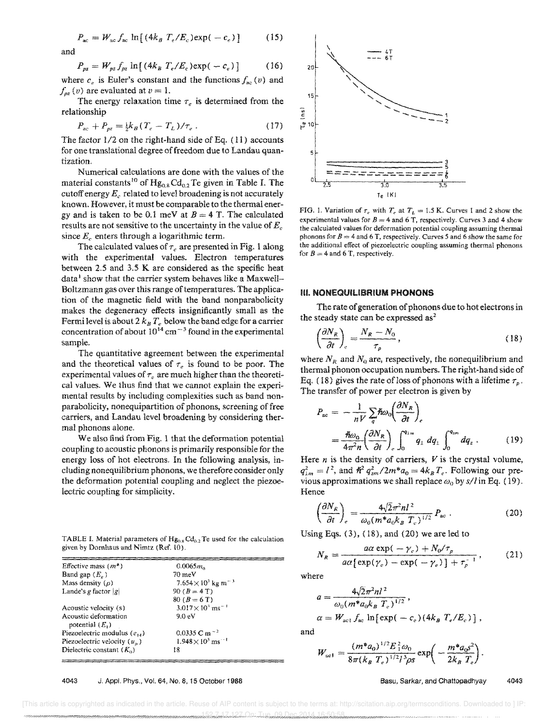$$
P_{ac} = W_{ac} f_{ac} \ln \left[ (4k_B T_e/E_c) \exp(-c_c) \right] \tag{15}
$$

and

$$
P_{pz} = W_{pz} f_{pz} \ln[(4k_B T_e/E_c) \exp(-c_e)] \tag{16}
$$

where  $c_e$  is Euler's constant and the functions  $f_{ac} (v)$  and  $f_{oz}(v)$  are evaluated at  $v = 1$ .

The energy relaxation time  $\tau_e$  is determined from the relationship

$$
P_{ac} + P_{pz} = \frac{1}{2} k_B (T_e - T_L) / \tau_e \,. \tag{17}
$$

The factor 1/2 on the right-hand side of Eq. (11) accounts for one translational degree of freedom due to Landau quantization.

Numerical calculations are done with the values of the material constants<sup>10</sup> of  $Hg_{0.8}Cd_{0.2}$  Te given in Table I. The cutoff energy  $E_c$  related to level broadening is not accurately known. However, it must be comparable to the thermal energy and is taken to be 0.1 meV at  $B = 4$  T. The calculated results are not sensitive to the uncertainty in the value of  $E<sub>c</sub>$ since  $E_c$  enters through a logarithmic term.

The calculated values of  $r_e$  are presented in Fig. 1 along with the experimental values. Electron temperatures between 2.5 and 3.5 K are considered as the specific heat data<sup>1</sup> show that the carrier system behaves like a Maxwell-Boltzmann gas over this range of temperatures. The application of the magnetic field with the band nonparabolicity makes the degeneracy effects insignificantly small as the Fermi level is about  $2 k_B T_e$  below the band edge for a carrier concentration of about  $10^{14}$  cm<sup>-3</sup> found in the experimental sample.

The quantitative agreement between the experimental and the theoretical values of  $\tau_e$  is found to be poor. The experimental values of  $\tau_e$  are much higher than the theoretical values. We thus find that we cannot explain the experimental results by including complexities such as band nonparabolicity, nonequipartition of phonons, screening of free carriers, and Landau level broadening by considering thermal phonons alone.

We also find from Fig. 1 that the deformation potential coupling to acoustic phonons is primarily responsible for the energy loss of hot electrons, In the following analysis, including nonequilibrium phonons, we therefore consider only the deformation potential coupling and neglect the piezoelectric coupling for simplicity.

TABLE I. Material parameters of  $Hg_{0.8} Cd_{0.2}$  Te used for the calculation given by Dornhaus and Nimtz (Ref. 10).

| Effective mass $(m^*)$           | $0.0065m_0$                                       |  |
|----------------------------------|---------------------------------------------------|--|
| Band gap $(E_{o})$               | $70 \text{ meV}$                                  |  |
| Mass density $(\rho)$            | 7.654 $\times$ 10 <sup>4</sup> kg m <sup>-3</sup> |  |
| Lande's g factor $ g $           | $90(B = 4T)$                                      |  |
|                                  | 80 ( $B = 6$ T)                                   |  |
| Acoustic velocity (s)            | $3.017\times10^{3}$ ms <sup>-1</sup>              |  |
| Acoustic deformation             | 9.0 <sub>e</sub> V                                |  |
| potential $(E_1)$                |                                                   |  |
| Piezoelectric modulus $(e_{14})$ | 0.0335 C m <sup><math>-2</math></sup>             |  |
| Piezoelectric velocity $(u_n)$   | $1.948 \times 10^{3}$ ms <sup>-1</sup>            |  |
| Dielectric constant $(K_0)$      | 18                                                |  |
|                                  |                                                   |  |





FIG. 1. Variation of  $\tau_e$  with  $T_e$  at  $T_L = 1.5$  K. Curves 1 and 2 show the experimental values for  $B = 4$  and 6 T, respectively. Curves 3 and 4 show the calculated values for deformation potential coupling assuming thermal phonons for  $B = 4$  and 6 T, respectively. Curves 5 and 6 show the same for the additional effect of piezoelectric coupling assuming thermal phonons for  $B = 4$  and 6 T, respectively.

#### III. **NONEQUILIBRIUM PHONONS**

The rate of generation of phonons due to hot electrons in the steady state can be expressed as<sup>2</sup>

$$
\left(\frac{\partial N_R}{\partial t}\right)_e = \frac{N_R - N_0}{\tau_p},\tag{18}
$$

where  $N_R$  and  $N_0$  are, respectively, the nonequilibrium and thermal phonon occupation numbers. The right-hand side of Eq. (18) gives the rate of loss of phonons with a lifetime  $\tau_p$ . The transfer of power per electron is given by

$$
P_{ac} = -\frac{1}{nV} \sum_{q} \hbar \omega_0 \left( \frac{\partial N_R}{\partial t} \right)_e
$$
  
=  $\frac{\hbar \omega_0}{4\pi^2 n} \left( \frac{\partial N_R}{\partial t} \right)_e \int_0^{q_{im}} q_1 dq_1 \int_0^{q_{im}} dq_2$ . (19)

Here *n* is the density of carriers, *V* is the crystal volume,  $q_{1m}^2 = l^2$ , and  $\hbar^2 q_{2m}^2/2m^* a_0 = 4k_B T_e$ . Following our previous approximations we shall replace  $\omega_0$  by  $s/l$  in Eq. (19). Hence

$$
\left(\frac{\partial N_R}{\partial t}\right)_e = \frac{4\sqrt{2}\pi^2 nI^2}{\omega_0 (m^* a_0 k_B T_c)^{1/2}} P_{ac} . \tag{20}
$$

Using Eqs.  $(3)$ ,  $(18)$ , and  $(20)$  we are led to

$$
N_R = \frac{a\alpha \exp(-\gamma_e) + N_0/\tau_p}{a\alpha \left[\exp(\gamma_e) - \exp(-\gamma_e)\right] + \tau_p^{-1}},\tag{21}
$$

where

$$
a = \frac{4\sqrt{2\pi^2 n l^2}}{\omega_0 (m^* a_0 k_B T_e)^{1/2}},
$$
  
\n
$$
\alpha = W_{\text{act}} f_{\text{gen}} \ln\left[\exp(-c_c)(4k_B T_e/E_e)\right]
$$

and

$$
W_{\text{act}} = \frac{(m^* a_0)^{1/2} E_1^2 \omega_0}{8\pi (k_B T_e)^{1/2} l^3 \rho s} \exp\left(-\frac{m^* a_0 s^2}{2k_B T_e}\right).
$$

#### Basu, Sarkar, and Chattopadhyay 4043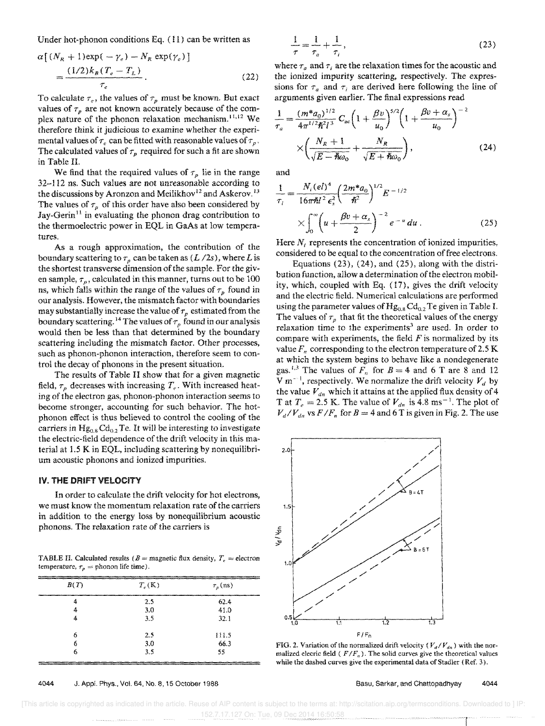Under hot-phonon conditions Eq. (11) can be written as

$$
\alpha \left[ (N_R + 1) \exp(-\gamma_e) - N_R \exp(\gamma_e) \right]
$$
  
= 
$$
\frac{(1/2)k_B (T_e - T_L)}{\tau_e}.
$$
 (22)

To calculate  $\tau_e$ , the values of  $\tau_p$  must be known. But exact values of  $\tau_p$  are not known accurately because of the complex nature of the phonon relaxation mechanism.<sup>11,12</sup> We therefore think it judicious to examine whether the experimental values of  $\tau_e$  can be fitted with reasonable values of  $\tau_p$ . The calculated values of  $\tau_p$  required for such a fit are shown in Table II.

We find that the required values of  $\tau_p$  lie in the range 32-112 ns. Such values are not unreasonable according to the discussions by Aronzon and Meilikhov<sup>12</sup> and Askerov.<sup>13</sup> The values of  $\tau_p$  of this order have also been considered by Jay-Gerin<sup>11</sup> in evaluating the phonon drag contribution to the thermoelectric power in EQL in GaAs at low temperatures.

As a rough approximation, the contribution of the boundary scattering to  $\tau_p$  can be taken as  $(L/2s)$ , where L is the shortest transverse dimension of the sample. For the given sample,  $\tau_p$ , calculated in this manner, turns out to be  $100$ ns, which falls within the range of the values of  $\tau_p$  found in our analysis. However, the mismatch factor with boundaries may substantially increase the value of  $\tau_p$  estimated from the boundary scattering.<sup>14</sup> The values of  $\tau_p$  found in our analysis would then be less than that determined by the boundary scattering including the mismatch factor. Other processes, such as phonon-phonon interaction, therefore seem to control the decay of phonons in the present situation.

The results of Table II show that for a given magnetic field,  $\tau_p$  decreases with increasing  $T_e$ . With increased heating of the electron gas, phonon-phonon interaction seems to become stronger, accounting for such behavior. The phonon effect is thus believed to control the cooling of the carriers in  $Hg_{0.8}Cd_{0.2}$  Te. It will be interesting to investigate the electric-field dependence of the drift velocity in this material at 1.5 K in EQL, including scattering by nonequilibriurn acoustic phonons and ionized impurities.

#### IV. THE DRIFT VELOCITY

In order to calculate the drift velocity for hot electrons, we must know the momentum relaxation rate of the carriers in addition to the energy loss by nonequilibrium acoustic phonons. The relaxation rate of the carriers is

TABLE II. Calculated results ( $B =$  magnetic flux density,  $T_e \approx$  electron temperature,  $\tau_p =$  phonon life time).

| B(T) | $T_e(K)$ | $\tau_{p}$ (ns) |
|------|----------|-----------------|
| 4    | 2.5      | 62.4            |
| 4    | 3.0      | 41.0            |
| 4    | 3.5      | 32.1            |
| 6    | 2.5      | 111.5           |
| 6    | 3.0      | 66.3            |
| 6    | 3.5      | 55              |

4044 J. Appl. Phys., Vol. 64, No.8, 15 October 1988

$$
\frac{1}{\tau} = \frac{1}{\tau_a} + \frac{1}{\tau_i},\tag{23}
$$

where  $\tau_a$  and  $\tau_i$  are the relaxation times for the acoustic and the ionized impurity scattering, respectively. The expressions for  $\tau_a$  and  $\tau_i$  are derived here following the line of arguments given earlier. The final expressions read

$$
\frac{1}{\tau_a} = \frac{(m^* a_0)^{1/2}}{4\pi^{1/2} \hbar^2 l^3} C_{ac} \left( 1 + \frac{\beta v}{u_0} \right)^{5/2} \left( 1 + \frac{\beta v + \alpha_s}{u_0} \right)^{-2}
$$
\n
$$
\times \left( \frac{N_R + 1}{\sqrt{E - \hbar \omega_0}} + \frac{N_R}{\sqrt{E + \hbar \omega_0}} \right),
$$
\n(24)

and

$$
\frac{1}{\tau_i} = \frac{N_i (el)^4}{16\pi h l^2 \epsilon_s^2} \left(\frac{2m^* a_0}{h^2}\right)^{1/2} E^{-1/2}
$$
  
 
$$
\times \int_0^\infty \left(u + \frac{\beta v + \alpha_s}{2}\right)^{-2} e^{-u} du.
$$
 (25)

Here *N<sub>i</sub>* represents the concentration of ionized impurities, considered to be equal to the concentration of free electrons.

Equations (23), (24), and (25), along with the distribution function, allow a determination of the electron mobility, which, coupled with Eq. (17), gives the drift velocity and the electric field. Numerical calculations are performed using the parameter values of  $Hg_{0.8}Cd_{0.2}Te$  given in Table I. The values of  $\tau_p$  that fit the theoretical values of the energy relaxation time to the experiments<sup>3</sup> are used. In order to compare with experiments, the field  $F$  is normalized by its value  $F_n$  corresponding to the electron temperature of 2.5 K at which the system begins to behave like a nondegenerate gas.<sup>1,3</sup> The values of  $F_n$  for  $B = 4$  and 6 T are 8 and 12 V m<sup>--1</sup>, respectively. We normalize the drift velocity  $V_d$  by the value  $V_{dn}$  which it attains at the applied flux density of 4 T at  $T_e = 2.5$  K. The value of  $V_{dn}$  is 4.8 ms<sup>-1</sup>. The plot of  $V_d/V_{dn}$  vs  $F/F_n$  for  $B = 4$  and 6 T is given in Fig. 2. The use



FIG. 2. Variation of the normalized drift velocity ( $V_d/V_{dn}$ ) with the normalized elecric field ( $F/F<sub>n</sub>$ ). The solid curves give the theoretical values while the dashed curves give the experimental data of Stadler (Ref. 3).

Basu, Sarkar, and Chattopadhyay 4044